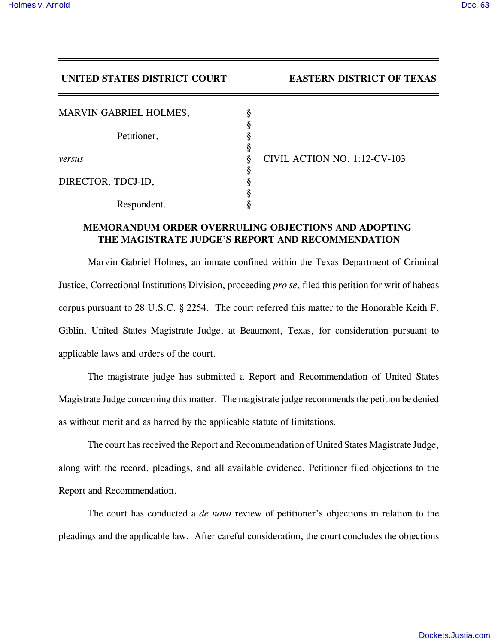## **UNITED STATES DISTRICT COURT EASTERN DISTRICT OF TEXAS**

| <b>MARVIN GABRIEL HOLMES,</b> |  |
|-------------------------------|--|
| Petitioner,                   |  |
|                               |  |
| versus                        |  |
| DIRECTOR, TDCJ-ID,            |  |
|                               |  |
|                               |  |
| Respondent.                   |  |

*versus* § CIVIL ACTION NO. 1:12-CV-103

## **MEMORANDUM ORDER OVERRULING OBJECTIONS AND ADOPTING THE MAGISTRATE JUDGE'S REPORT AND RECOMMENDATION**

Marvin Gabriel Holmes, an inmate confined within the Texas Department of Criminal Justice, Correctional Institutions Division, proceeding *pro se*, filed this petition for writ of habeas corpus pursuant to 28 U.S.C. § 2254. The court referred this matter to the Honorable Keith F. Giblin, United States Magistrate Judge, at Beaumont, Texas, for consideration pursuant to applicable laws and orders of the court.

The magistrate judge has submitted a Report and Recommendation of United States Magistrate Judge concerning this matter. The magistrate judge recommends the petition be denied as without merit and as barred by the applicable statute of limitations.

The court has received the Report and Recommendation of United States Magistrate Judge, along with the record, pleadings, and all available evidence. Petitioner filed objections to the Report and Recommendation.

The court has conducted a *de novo* review of petitioner's objections in relation to the pleadings and the applicable law. After careful consideration, the court concludes the objections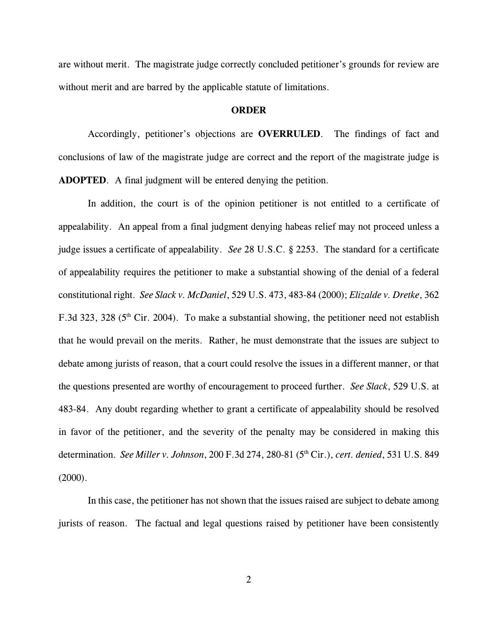are without merit. The magistrate judge correctly concluded petitioner's grounds for review are without merit and are barred by the applicable statute of limitations.

## **ORDER**

Accordingly, petitioner's objections are **OVERRULED**. The findings of fact and conclusions of law of the magistrate judge are correct and the report of the magistrate judge is **ADOPTED**. A final judgment will be entered denying the petition.

In addition, the court is of the opinion petitioner is not entitled to a certificate of appealability. An appeal from a final judgment denying habeas relief may not proceed unless a judge issues a certificate of appealability. *See* 28 U.S.C. § 2253. The standard for a certificate of appealability requires the petitioner to make a substantial showing of the denial of a federal constitutional right. *See Slack v. McDaniel*, 529 U.S. 473, 483-84 (2000); *Elizalde v. Dretke*, 362 F.3d 323, 328 ( $5<sup>th</sup>$  Cir. 2004). To make a substantial showing, the petitioner need not establish that he would prevail on the merits. Rather, he must demonstrate that the issues are subject to debate among jurists of reason, that a court could resolve the issues in a different manner, or that the questions presented are worthy of encouragement to proceed further. *See Slack*, 529 U.S. at 483-84. Any doubt regarding whether to grant a certificate of appealability should be resolved in favor of the petitioner, and the severity of the penalty may be considered in making this determination. *See Miller v. Johnson*, 200 F.3d 274, 280-81 (5<sup>th</sup> Cir.), *cert. denied*, 531 U.S. 849 (2000).

In this case, the petitioner has not shown that the issues raised are subject to debate among jurists of reason. The factual and legal questions raised by petitioner have been consistently